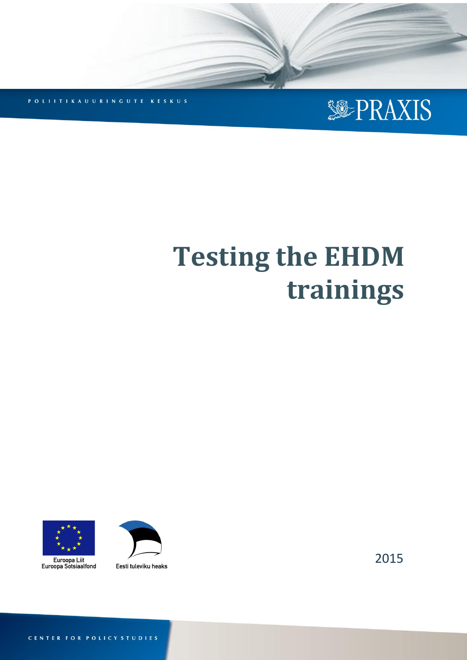

POLITTIKAUURINGUTE KESKUS

# **Testing the EHDM trainings**

**Testing the EHDM trainings PRAXIS 2015**





Eesti tuleviku heaks

2015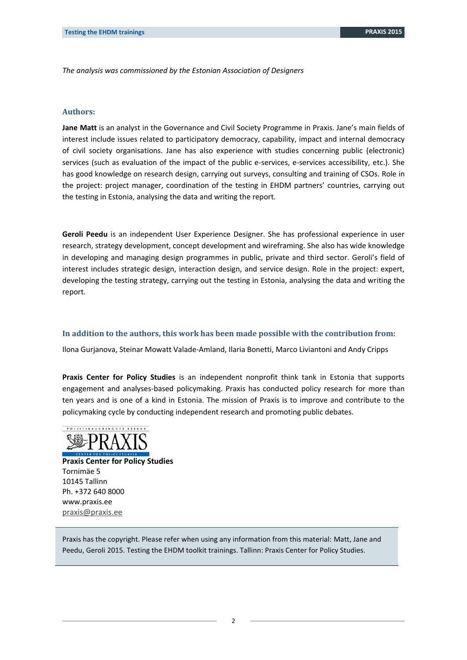*The analysis was commissioned by the Estonian Association of Designers*

#### **Authors:**

**Jane Matt** is an analyst in the Governance and Civil Society Programme in Praxis. Jane's main fields of interest include issues related to participatory democracy, capability, impact and internal democracy of civil society organisations. Jane has also experience with studies concerning public (electronic) services (such as evaluation of the impact of the public e-services, e-services accessibility, etc.). She has good knowledge on research design, carrying out surveys, consulting and training of CSOs. Role in the project: project manager, coordination of the testing in EHDM partners' countries, carrying out the testing in Estonia, analysing the data and writing the report.

**Geroli Peedu** is an independent User Experience Designer. She has professional experience in user research, strategy development, concept development and wireframing. She also has wide knowledge in developing and managing design programmes in public, private and third sector. Geroli's field of interest includes strategic design, interaction design, and service design. Role in the project: expert, developing the testing strategy, carrying out the testing in Estonia, analysing the data and writing the report.

#### **In addition to the authors, this work has been made possible with the contribution from:**

Ilona Gurjanova, Steinar Mowatt Valade-Amland, Ilaria Bonetti, Marco Liviantoni and Andy Cripps

**Praxis Center for Policy Studies** is an independent nonprofit think tank in Estonia that supports engagement and analyses-based policymaking. Praxis has conducted policy research for more than ten years and is one of a kind in Estonia. The mission of Praxis is to improve and contribute to the policymaking cycle by conducting independent research and promoting public debates.



**Praxis Center for Policy Studies** Tornimäe 5 10145 Tallinn Ph. +372 640 8000 www.praxis.ee [praxis@praxis.ee](mailto:praxis@praxis.ee)

Praxis has the copyright. Please refer when using any information from this material: Matt, Jane and Peedu, Geroli 2015. Testing the EHDM toolkit trainings. Tallinn: Praxis Center for Policy Studies.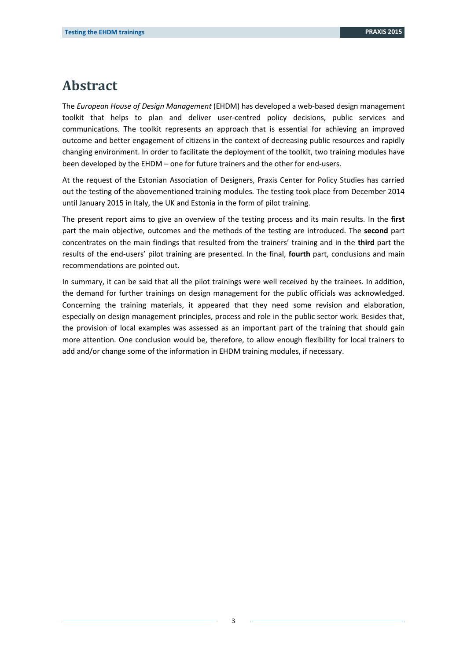## <span id="page-2-0"></span>**Abstract**

The *European House of Design Management* (EHDM) has developed a web-based design management toolkit that helps to plan and deliver user-centred policy decisions, public services and communications. The toolkit represents an approach that is essential for achieving an improved outcome and better engagement of citizens in the context of decreasing public resources and rapidly changing environment. In order to facilitate the deployment of the toolkit, two training modules have been developed by the EHDM – one for future trainers and the other for end-users.

At the request of the Estonian Association of Designers, Praxis Center for Policy Studies has carried out the testing of the abovementioned training modules. The testing took place from December 2014 until January 2015 in Italy, the UK and Estonia in the form of pilot training.

The present report aims to give an overview of the testing process and its main results. In the **first** part the main objective, outcomes and the methods of the testing are introduced. The **second** part concentrates on the main findings that resulted from the trainers' training and in the **third** part the results of the end-users' pilot training are presented. In the final, **fourth** part, conclusions and main recommendations are pointed out.

In summary, it can be said that all the pilot trainings were well received by the trainees. In addition, the demand for further trainings on design management for the public officials was acknowledged. Concerning the training materials, it appeared that they need some revision and elaboration, especially on design management principles, process and role in the public sector work. Besides that, the provision of local examples was assessed as an important part of the training that should gain more attention. One conclusion would be, therefore, to allow enough flexibility for local trainers to add and/or change some of the information in EHDM training modules, if necessary.

3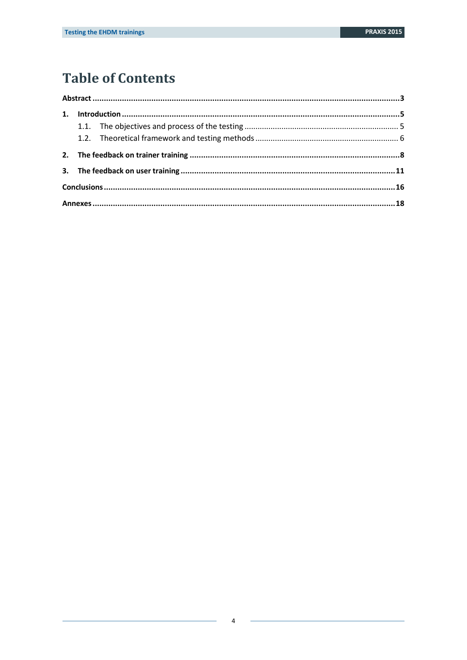# **Table of Contents**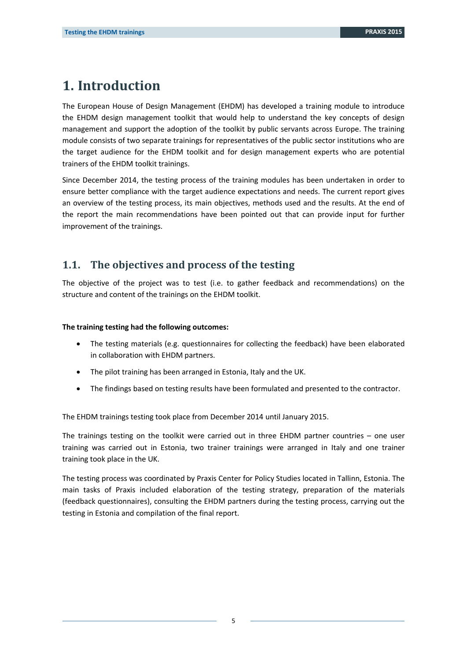## <span id="page-4-0"></span>**1. Introduction**

The European House of Design Management (EHDM) has developed a training module to introduce the EHDM design management toolkit that would help to understand the key concepts of design management and support the adoption of the toolkit by public servants across Europe. The training module consists of two separate trainings for representatives of the public sector institutions who are the target audience for the EHDM toolkit and for design management experts who are potential trainers of the EHDM toolkit trainings.

Since December 2014, the testing process of the training modules has been undertaken in order to ensure better compliance with the target audience expectations and needs. The current report gives an overview of the testing process, its main objectives, methods used and the results. At the end of the report the main recommendations have been pointed out that can provide input for further improvement of the trainings.

## <span id="page-4-1"></span>**1.1. The objectives and process of the testing**

The objective of the project was to test (i.e. to gather feedback and recommendations) on the structure and content of the trainings on the EHDM toolkit.

#### **The training testing had the following outcomes:**

- The testing materials (e.g. questionnaires for collecting the feedback) have been elaborated in collaboration with EHDM partners.
- The pilot training has been arranged in Estonia, Italy and the UK.
- The findings based on testing results have been formulated and presented to the contractor.

The EHDM trainings testing took place from December 2014 until January 2015.

The trainings testing on the toolkit were carried out in three EHDM partner countries  $-$  one user training was carried out in Estonia, two trainer trainings were arranged in Italy and one trainer training took place in the UK.

The testing process was coordinated by Praxis Center for Policy Studies located in Tallinn, Estonia. The main tasks of Praxis included elaboration of the testing strategy, preparation of the materials (feedback questionnaires), consulting the EHDM partners during the testing process, carrying out the testing in Estonia and compilation of the final report.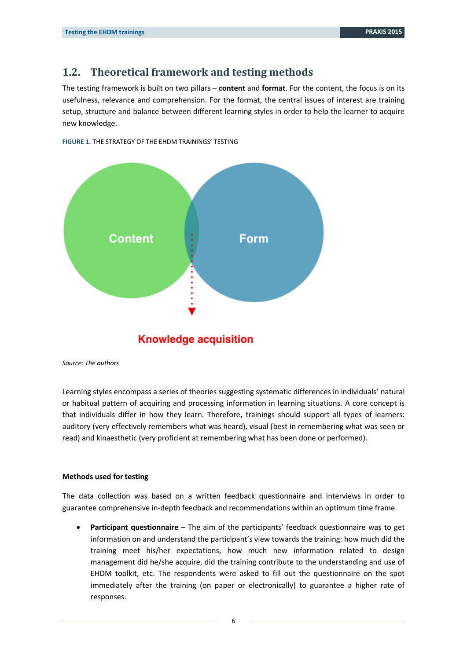## <span id="page-5-0"></span>**1.2. Theoretical framework and testing methods**

The testing framework is built on two pillars – **content** and **format**. For the content, the focus is on its usefulness, relevance and comprehension. For the format, the central issues of interest are training setup, structure and balance between different learning styles in order to help the learner to acquire new knowledge.



**FIGURE 1.** THE STRATEGY OF THE EHDM TRAININGS' TESTING

### **Knowledge acquisition**

*Source: The authors*

Learning styles encompass a series of theories suggesting systematic differences in individuals' natural or habitual pattern of acquiring and processing information in learning situations. A core concept is that individuals differ in how they learn. Therefore, trainings should support all types of learners: auditory (very effectively remembers what was heard), visual (best in remembering what was seen or read) and kinaesthetic (very proficient at remembering what has been done or performed).

#### **Methods used for testing**

The data collection was based on a written feedback questionnaire and interviews in order to guarantee comprehensive in-depth feedback and recommendations within an optimum time frame.

 **Participant questionnaire** – The aim of the participants' feedback questionnaire was to get information on and understand the participant's view towards the training: how much did the training meet his/her expectations, how much new information related to design management did he/she acquire, did the training contribute to the understanding and use of EHDM toolkit, etc. The respondents were asked to fill out the questionnaire on the spot immediately after the training (on paper or electronically) to guarantee a higher rate of responses.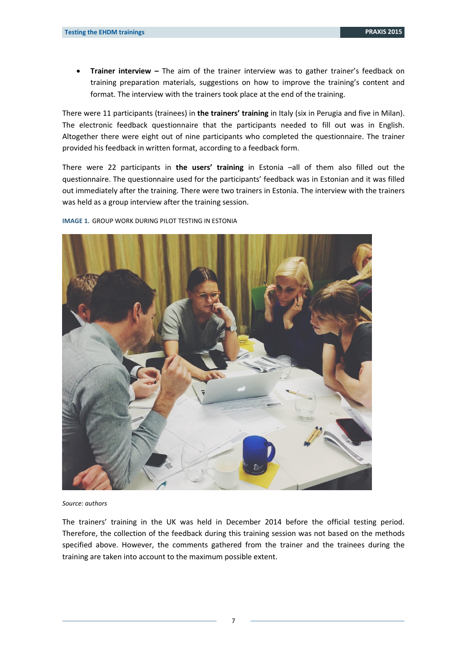**Trainer interview –** The aim of the trainer interview was to gather trainer's feedback on training preparation materials, suggestions on how to improve the training's content and format. The interview with the trainers took place at the end of the training.

There were 11 participants (trainees) in **the trainers' training** in Italy (six in Perugia and five in Milan). The electronic feedback questionnaire that the participants needed to fill out was in English. Altogether there were eight out of nine participants who completed the questionnaire. The trainer provided his feedback in written format, according to a feedback form.

There were 22 participants in **the users' training** in Estonia –all of them also filled out the questionnaire. The questionnaire used for the participants' feedback was in Estonian and it was filled out immediately after the training. There were two trainers in Estonia. The interview with the trainers was held as a group interview after the training session.

**IMAGE 1.** GROUP WORK DURING PILOT TESTING IN ESTONIA



#### *Source: authors*

The trainers' training in the UK was held in December 2014 before the official testing period. Therefore, the collection of the feedback during this training session was not based on the methods specified above. However, the comments gathered from the trainer and the trainees during the training are taken into account to the maximum possible extent.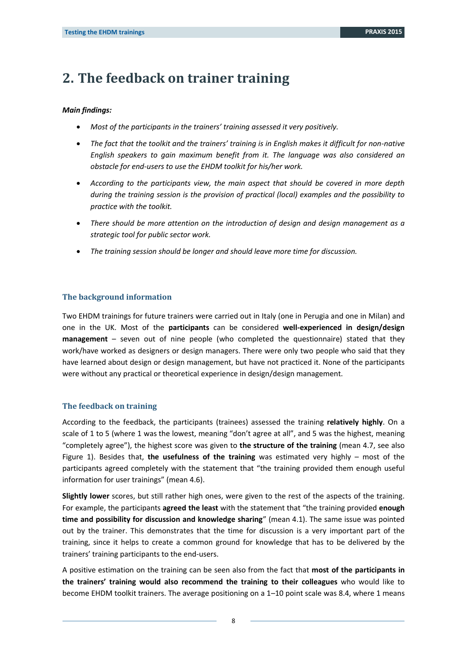# <span id="page-7-0"></span>**2. The feedback on trainer training**

#### *Main findings:*

- *Most of the participants in the trainers' training assessed it very positively.*
- *The fact that the toolkit and the trainers' training is in English makes it difficult for non-native English speakers to gain maximum benefit from it. The language was also considered an obstacle for end-users to use the EHDM toolkit for his/her work.*
- *According to the participants view, the main aspect that should be covered in more depth during the training session is the provision of practical (local) examples and the possibility to practice with the toolkit.*
- *There should be more attention on the introduction of design and design management as a strategic tool for public sector work.*
- *The training session should be longer and should leave more time for discussion.*

#### **The background information**

Two EHDM trainings for future trainers were carried out in Italy (one in Perugia and one in Milan) and one in the UK. Most of the **participants** can be considered **well-experienced in design/design management** – seven out of nine people (who completed the questionnaire) stated that they work/have worked as designers or design managers. There were only two people who said that they have learned about design or design management, but have not practiced it. None of the participants were without any practical or theoretical experience in design/design management.

#### **The feedback on training**

According to the feedback, the participants (trainees) assessed the training **relatively highly**. On a scale of 1 to 5 (where 1 was the lowest, meaning "don't agree at all", and 5 was the highest, meaning "completely agree"), the highest score was given to **the structure of the training** (mean 4.7, see also Figure 1). Besides that, **the usefulness of the training** was estimated very highly – most of the participants agreed completely with the statement that "the training provided them enough useful information for user trainings" (mean 4.6).

**Slightly lower** scores, but still rather high ones, were given to the rest of the aspects of the training. For example, the participants **agreed the least** with the statement that "the training provided **enough time and possibility for discussion and knowledge sharing**" (mean 4.1). The same issue was pointed out by the trainer. This demonstrates that the time for discussion is a very important part of the training, since it helps to create a common ground for knowledge that has to be delivered by the trainers' training participants to the end-users.

A positive estimation on the training can be seen also from the fact that **most of the participants in the trainers' training would also recommend the training to their colleagues** who would like to become EHDM toolkit trainers. The average positioning on a 1–10 point scale was 8.4, where 1 means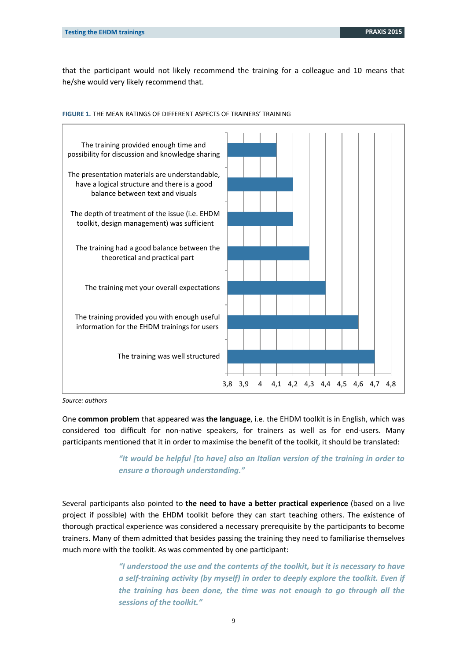that the participant would not likely recommend the training for a colleague and 10 means that he/she would very likely recommend that.



**FIGURE 1.** THE MEAN RATINGS OF DIFFERENT ASPECTS OF TRAINERS' TRAINING

*Source: authors*

One **common problem** that appeared was **the language**, i.e. the EHDM toolkit is in English, which was considered too difficult for non-native speakers, for trainers as well as for end-users. Many participants mentioned that it in order to maximise the benefit of the toolkit, it should be translated:

> *"It would be helpful [to have] also an Italian version of the training in order to ensure a thorough understanding."*

Several participants also pointed to **the need to have a better practical experience** (based on a live project if possible) with the EHDM toolkit before they can start teaching others. The existence of thorough practical experience was considered a necessary prerequisite by the participants to become trainers. Many of them admitted that besides passing the training they need to familiarise themselves much more with the toolkit. As was commented by one participant:

> *"I understood the use and the contents of the toolkit, but it is necessary to have a self-training activity (by myself) in order to deeply explore the toolkit. Even if the training has been done, the time was not enough to go through all the sessions of the toolkit."*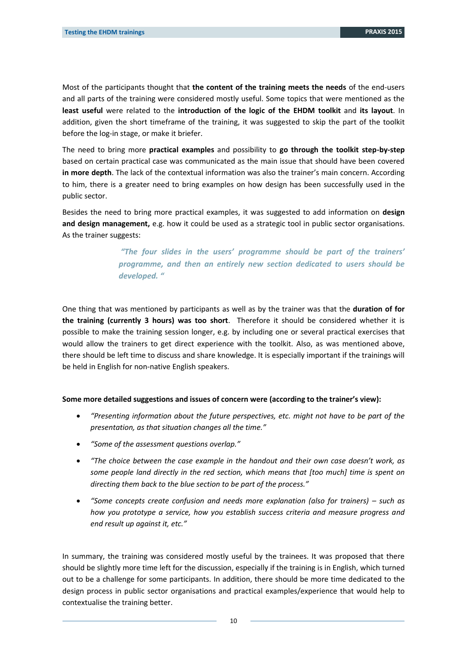Most of the participants thought that **the content of the training meets the needs** of the end-users and all parts of the training were considered mostly useful. Some topics that were mentioned as the **least useful** were related to the **introduction of the logic of the EHDM toolkit** and **its layout**. In addition, given the short timeframe of the training, it was suggested to skip the part of the toolkit before the log-in stage, or make it briefer.

The need to bring more **practical examples** and possibility to **go through the toolkit step-by-step** based on certain practical case was communicated as the main issue that should have been covered **in more depth**. The lack of the contextual information was also the trainer's main concern. According to him, there is a greater need to bring examples on how design has been successfully used in the public sector.

Besides the need to bring more practical examples, it was suggested to add information on **design and design management,** e.g. how it could be used as a strategic tool in public sector organisations. As the trainer suggests:

> *"The four slides in the users' programme should be part of the trainers' programme, and then an entirely new section dedicated to users should be developed. "*

One thing that was mentioned by participants as well as by the trainer was that the **duration of for the training (currently 3 hours) was too short**. Therefore it should be considered whether it is possible to make the training session longer, e.g. by including one or several practical exercises that would allow the trainers to get direct experience with the toolkit. Also, as was mentioned above, there should be left time to discuss and share knowledge. It is especially important if the trainings will be held in English for non-native English speakers.

#### **Some more detailed suggestions and issues of concern were (according to the trainer's view):**

- *"Presenting information about the future perspectives, etc. might not have to be part of the presentation, as that situation changes all the time."*
- *"Some of the assessment questions overlap."*
- *"The choice between the case example in the handout and their own case doesn't work, as some people land directly in the red section, which means that [too much] time is spent on directing them back to the blue section to be part of the process."*
- *"Some concepts create confusion and needs more explanation (also for trainers) – such as how you prototype a service, how you establish success criteria and measure progress and end result up against it, etc."*

In summary, the training was considered mostly useful by the trainees. It was proposed that there should be slightly more time left for the discussion, especially if the training is in English, which turned out to be a challenge for some participants. In addition, there should be more time dedicated to the design process in public sector organisations and practical examples/experience that would help to contextualise the training better.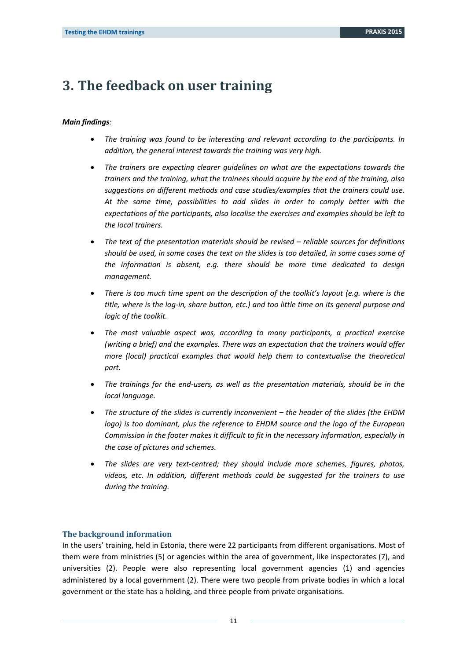## <span id="page-10-0"></span>**3. The feedback on user training**

#### *Main findings:*

- *The training was found to be interesting and relevant according to the participants. In addition, the general interest towards the training was very high.*
- *The trainers are expecting clearer guidelines on what are the expectations towards the trainers and the training, what the trainees should acquire by the end of the training, also suggestions on different methods and case studies/examples that the trainers could use. At the same time, possibilities to add slides in order to comply better with the expectations of the participants, also localise the exercises and examples should be left to the local trainers.*
- *The text of the presentation materials should be revised reliable sources for definitions should be used, in some cases the text on the slides is too detailed, in some cases some of the information is absent, e.g. there should be more time dedicated to design management.*
- *There is too much time spent on the description of the toolkit's layout (e.g. where is the title, where is the log-in, share button, etc.) and too little time on its general purpose and logic of the toolkit.*
- *The most valuable aspect was, according to many participants, a practical exercise (writing a brief) and the examples. There was an expectation that the trainers would offer more (local) practical examples that would help them to contextualise the theoretical part.*
- *The trainings for the end-users, as well as the presentation materials, should be in the local language.*
- *The structure of the slides is currently inconvenient – the header of the slides (the EHDM logo) is too dominant, plus the reference to EHDM source and the logo of the European Commission in the footer makes it difficult to fit in the necessary information, especially in the case of pictures and schemes.*
- *The slides are very text-centred; they should include more schemes, figures, photos, videos, etc. In addition, different methods could be suggested for the trainers to use during the training.*

#### **The background information**

In the users' training, held in Estonia, there were 22 participants from different organisations. Most of them were from ministries (5) or agencies within the area of government, like inspectorates (7), and universities (2). People were also representing local government agencies (1) and agencies administered by a local government (2). There were two people from private bodies in which a local government or the state has a holding, and three people from private organisations.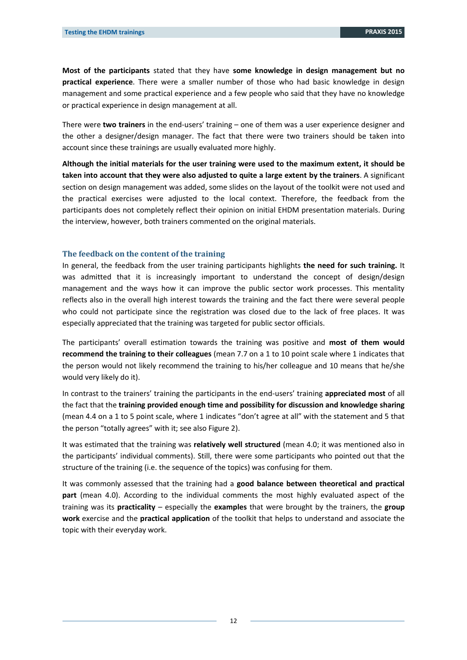**Most of the participants** stated that they have **some knowledge in design management but no practical experience**. There were a smaller number of those who had basic knowledge in design management and some practical experience and a few people who said that they have no knowledge or practical experience in design management at all.

There were **two trainers** in the end-users' training – one of them was a user experience designer and the other a designer/design manager. The fact that there were two trainers should be taken into account since these trainings are usually evaluated more highly.

**Although the initial materials for the user training were used to the maximum extent, it should be taken into account that they were also adjusted to quite a large extent by the trainers**. A significant section on design management was added, some slides on the layout of the toolkit were not used and the practical exercises were adjusted to the local context. Therefore, the feedback from the participants does not completely reflect their opinion on initial EHDM presentation materials. During the interview, however, both trainers commented on the original materials.

#### **The feedback on the content of the training**

In general, the feedback from the user training participants highlights **the need for such training.** It was admitted that it is increasingly important to understand the concept of design/design management and the ways how it can improve the public sector work processes. This mentality reflects also in the overall high interest towards the training and the fact there were several people who could not participate since the registration was closed due to the lack of free places. It was especially appreciated that the training was targeted for public sector officials.

The participants' overall estimation towards the training was positive and **most of them would recommend the training to their colleagues** (mean 7.7 on a 1 to 10 point scale where 1 indicates that the person would not likely recommend the training to his/her colleague and 10 means that he/she would very likely do it).

In contrast to the trainers' training the participants in the end-users' training **appreciated most** of all the fact that the **training provided enough time and possibility for discussion and knowledge sharing** (mean 4.4 on a 1 to 5 point scale, where 1 indicates "don't agree at all" with the statement and 5 that the person "totally agrees" with it; see also Figure 2).

It was estimated that the training was **relatively well structured** (mean 4.0; it was mentioned also in the participants' individual comments). Still, there were some participants who pointed out that the structure of the training (i.e. the sequence of the topics) was confusing for them.

It was commonly assessed that the training had a **good balance between theoretical and practical part** (mean 4.0). According to the individual comments the most highly evaluated aspect of the training was its **practicality** – especially the **examples** that were brought by the trainers, the **group work** exercise and the **practical application** of the toolkit that helps to understand and associate the topic with their everyday work.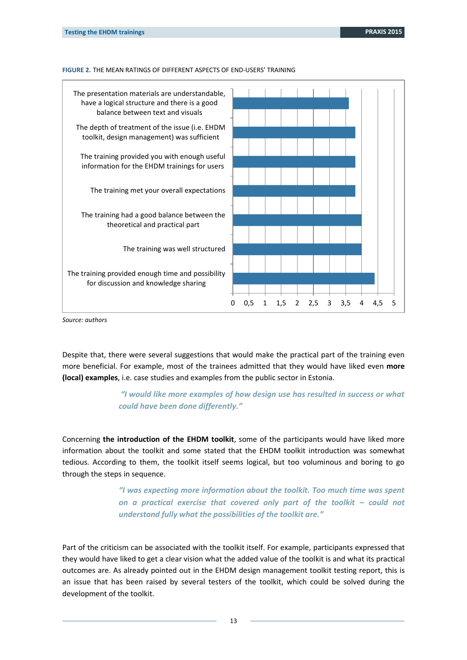**FIGURE 2.** THE MEAN RATINGS OF DIFFERENT ASPECTS OF END-USERS' TRAINING



*Source: authors*

Despite that, there were several suggestions that would make the practical part of the training even more beneficial. For example, most of the trainees admitted that they would have liked even **more (local) examples**, i.e. case studies and examples from the public sector in Estonia.

> *"I would like more examples of how design use has resulted in success or what could have been done differently."*

Concerning **the introduction of the EHDM toolkit**, some of the participants would have liked more information about the toolkit and some stated that the EHDM toolkit introduction was somewhat tedious. According to them, the toolkit itself seems logical, but too voluminous and boring to go through the steps in sequence.

> *"I was expecting more information about the toolkit. Too much time was spent on a practical exercise that covered only part of the toolkit – could not understand fully what the possibilities of the toolkit are."*

Part of the criticism can be associated with the toolkit itself. For example, participants expressed that they would have liked to get a clear vision what the added value of the toolkit is and what its practical outcomes are. As already pointed out in the EHDM design management toolkit testing report, this is an issue that has been raised by several testers of the toolkit, which could be solved during the development of the toolkit.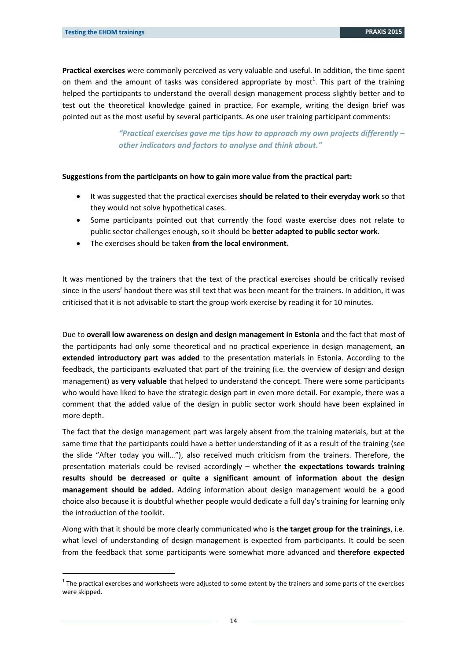-

**Practical exercises** were commonly perceived as very valuable and useful. In addition, the time spent on them and the amount of tasks was considered appropriate by most<sup>1</sup>. This part of the training helped the participants to understand the overall design management process slightly better and to test out the theoretical knowledge gained in practice. For example, writing the design brief was pointed out as the most useful by several participants. As one user training participant comments:

> *"Practical exercises gave me tips how to approach my own projects differently – other indicators and factors to analyse and think about."*

#### **Suggestions from the participants on how to gain more value from the practical part:**

- It was suggested that the practical exercises **should be related to their everyday work** so that they would not solve hypothetical cases.
- Some participants pointed out that currently the food waste exercise does not relate to public sector challenges enough, so it should be **better adapted to public sector work**.
- The exercises should be taken **from the local environment.**

It was mentioned by the trainers that the text of the practical exercises should be critically revised since in the users' handout there was still text that was been meant for the trainers. In addition, it was criticised that it is not advisable to start the group work exercise by reading it for 10 minutes.

Due to **overall low awareness on design and design management in Estonia** and the fact that most of the participants had only some theoretical and no practical experience in design management, **an extended introductory part was added** to the presentation materials in Estonia. According to the feedback, the participants evaluated that part of the training (i.e. the overview of design and design management) as **very valuable** that helped to understand the concept. There were some participants who would have liked to have the strategic design part in even more detail. For example, there was a comment that the added value of the design in public sector work should have been explained in more depth.

The fact that the design management part was largely absent from the training materials, but at the same time that the participants could have a better understanding of it as a result of the training (see the slide "After today you will…"), also received much criticism from the trainers. Therefore, the presentation materials could be revised accordingly – whether **the expectations towards training results should be decreased or quite a significant amount of information about the design management should be added.** Adding information about design management would be a good choice also because it is doubtful whether people would dedicate a full day's training for learning only the introduction of the toolkit.

Along with that it should be more clearly communicated who is **the target group for the trainings**, i.e. what level of understanding of design management is expected from participants. It could be seen from the feedback that some participants were somewhat more advanced and **therefore expected** 

 $1$  The practical exercises and worksheets were adjusted to some extent by the trainers and some parts of the exercises were skipped.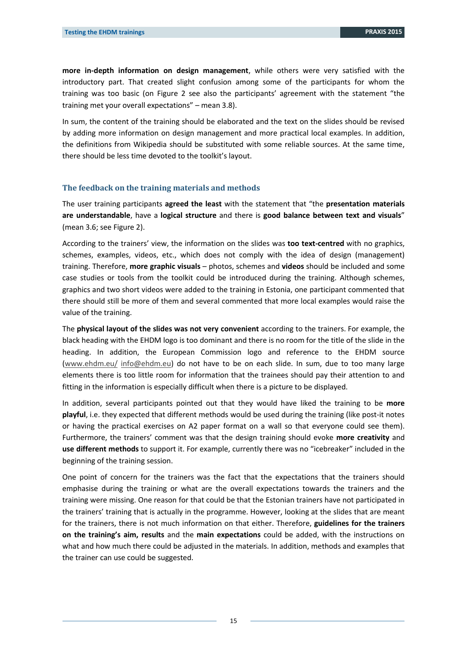**more in-depth information on design management**, while others were very satisfied with the introductory part. That created slight confusion among some of the participants for whom the training was too basic (on Figure 2 see also the participants' agreement with the statement "the training met your overall expectations" – mean 3.8).

In sum, the content of the training should be elaborated and the text on the slides should be revised by adding more information on design management and more practical local examples. In addition, the definitions from Wikipedia should be substituted with some reliable sources. At the same time, there should be less time devoted to the toolkit's layout.

#### **The feedback on the training materials and methods**

The user training participants **agreed the least** with the statement that "the **presentation materials are understandable**, have a **logical structure** and there is **good balance between text and visuals**" (mean 3.6; see Figure 2).

According to the trainers' view, the information on the slides was **too text-centred** with no graphics, schemes, examples, videos, etc., which does not comply with the idea of design (management) training. Therefore, **more graphic visuals** – photos, schemes and **videos** should be included and some case studies or tools from the toolkit could be introduced during the training. Although schemes, graphics and two short videos were added to the training in Estonia, one participant commented that there should still be more of them and several commented that more local examples would raise the value of the training.

The **physical layout of the slides was not very convenient** according to the trainers. For example, the black heading with the EHDM logo is too dominant and there is no room for the title of the slide in the heading. In addition, the European Commission logo and reference to the EHDM source [\(www.ehdm.eu/](http://www.ehdm.eu/) [info@ehdm.eu\)](mailto:info@ehdm.eu) do not have to be on each slide. In sum, due to too many large elements there is too little room for information that the trainees should pay their attention to and fitting in the information is especially difficult when there is a picture to be displayed.

In addition, several participants pointed out that they would have liked the training to be **more playful**, i.e. they expected that different methods would be used during the training (like post-it notes or having the practical exercises on A2 paper format on a wall so that everyone could see them). Furthermore, the trainers' comment was that the design training should evoke **more creativity** and **use different methods** to support it. For example, currently there was no "icebreaker" included in the beginning of the training session.

One point of concern for the trainers was the fact that the expectations that the trainers should emphasise during the training or what are the overall expectations towards the trainers and the training were missing. One reason for that could be that the Estonian trainers have not participated in the trainers' training that is actually in the programme. However, looking at the slides that are meant for the trainers, there is not much information on that either. Therefore, **guidelines for the trainers on the training's aim, results** and the **main expectations** could be added, with the instructions on what and how much there could be adjusted in the materials. In addition, methods and examples that the trainer can use could be suggested.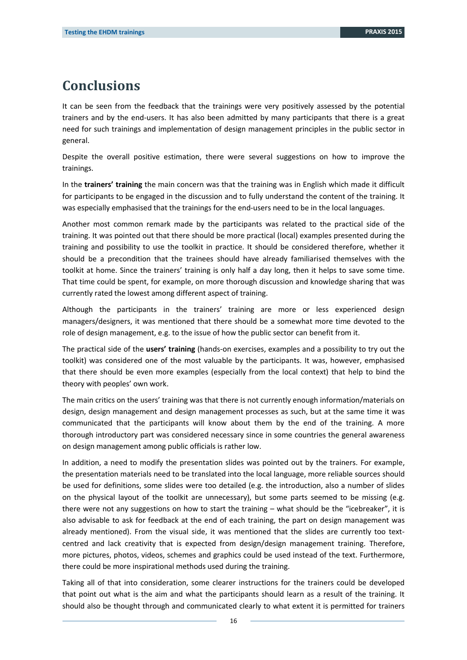# <span id="page-15-0"></span>**Conclusions**

It can be seen from the feedback that the trainings were very positively assessed by the potential trainers and by the end-users. It has also been admitted by many participants that there is a great need for such trainings and implementation of design management principles in the public sector in general.

Despite the overall positive estimation, there were several suggestions on how to improve the trainings.

In the **trainers' training** the main concern was that the training was in English which made it difficult for participants to be engaged in the discussion and to fully understand the content of the training. It was especially emphasised that the trainings for the end-users need to be in the local languages.

Another most common remark made by the participants was related to the practical side of the training. It was pointed out that there should be more practical (local) examples presented during the training and possibility to use the toolkit in practice. It should be considered therefore, whether it should be a precondition that the trainees should have already familiarised themselves with the toolkit at home. Since the trainers' training is only half a day long, then it helps to save some time. That time could be spent, for example, on more thorough discussion and knowledge sharing that was currently rated the lowest among different aspect of training.

Although the participants in the trainers' training are more or less experienced design managers/designers, it was mentioned that there should be a somewhat more time devoted to the role of design management, e.g. to the issue of how the public sector can benefit from it.

The practical side of the **users' training** (hands-on exercises, examples and a possibility to try out the toolkit) was considered one of the most valuable by the participants. It was, however, emphasised that there should be even more examples (especially from the local context) that help to bind the theory with peoples' own work.

The main critics on the users' training was that there is not currently enough information/materials on design, design management and design management processes as such, but at the same time it was communicated that the participants will know about them by the end of the training. A more thorough introductory part was considered necessary since in some countries the general awareness on design management among public officials is rather low.

In addition, a need to modify the presentation slides was pointed out by the trainers. For example, the presentation materials need to be translated into the local language, more reliable sources should be used for definitions, some slides were too detailed (e.g. the introduction, also a number of slides on the physical layout of the toolkit are unnecessary), but some parts seemed to be missing (e.g. there were not any suggestions on how to start the training – what should be the "icebreaker", it is also advisable to ask for feedback at the end of each training, the part on design management was already mentioned). From the visual side, it was mentioned that the slides are currently too textcentred and lack creativity that is expected from design/design management training. Therefore, more pictures, photos, videos, schemes and graphics could be used instead of the text. Furthermore, there could be more inspirational methods used during the training.

Taking all of that into consideration, some clearer instructions for the trainers could be developed that point out what is the aim and what the participants should learn as a result of the training. It should also be thought through and communicated clearly to what extent it is permitted for trainers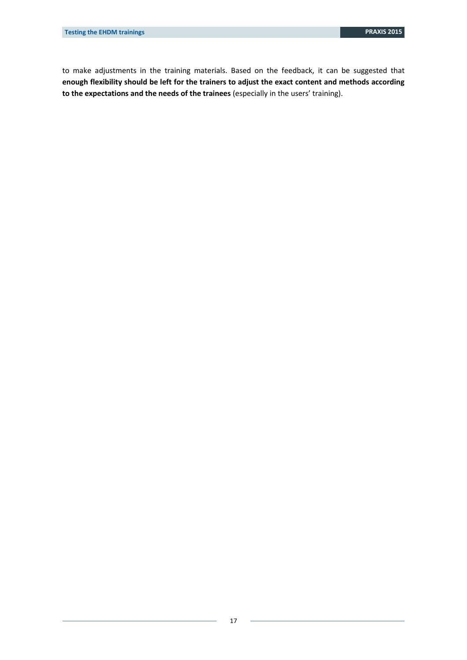to make adjustments in the training materials. Based on the feedback, it can be suggested that **enough flexibility should be left for the trainers to adjust the exact content and methods according to the expectations and the needs of the trainees** (especially in the users' training).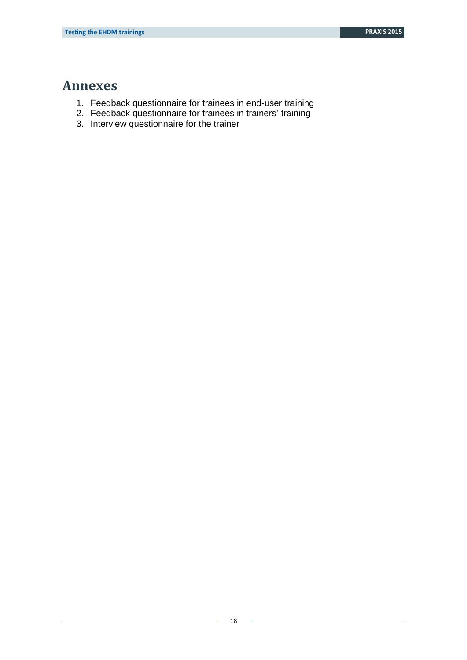## <span id="page-17-0"></span>**Annexes**

- 1. Feedback questionnaire for trainees in end-user training
- 2. Feedback questionnaire for trainees in trainers' training
- 3. Interview questionnaire for the trainer